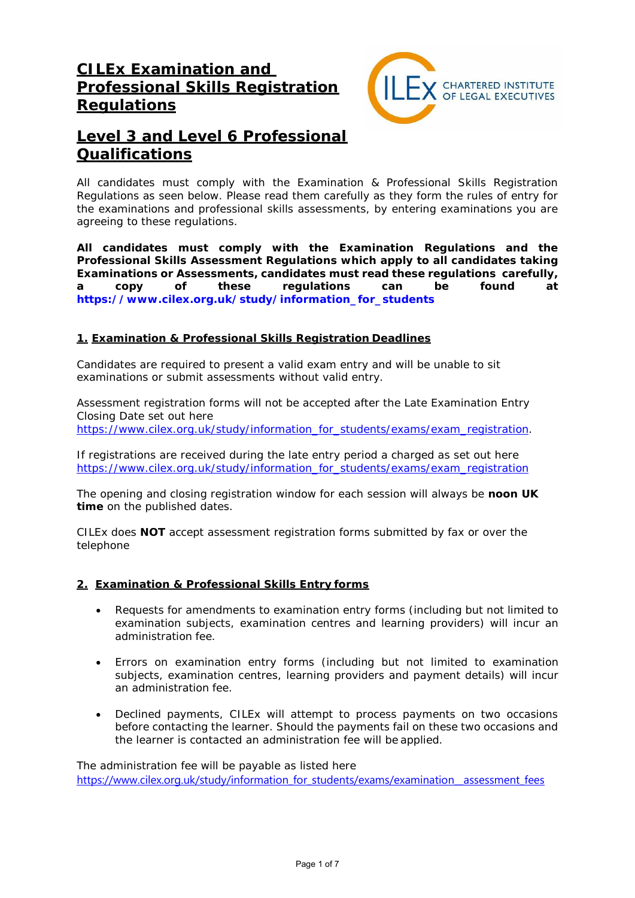# **CILEx Examination and Professional Skills Registration Regulations**



# **Level 3 and Level 6 Professional Qualifications**

*All candidates must comply with the Examination & Professional Skills Registration Regulations as seen below. Please read them carefully as they form the rules of entry for the examinations and professional skills assessments, by entering examinations you are agreeing to these regulations.*

**All candidates must comply with the Examination Regulations and the Professional Skills Assessment Regulations which apply to all candidates taking Examinations or Assessments, candidates must read these regulations carefully, a copy of these regulations can be found at [https://www.cilex.org.uk/study/information\\_for\\_students](https://www.cilex.org.uk/study/information_for_students)**

## **1. Examination & Professional Skills Registration Deadlines**

Candidates are required to present a valid exam entry and will be unable to sit examinations or submit assessments without valid entry.

Assessment registration forms will not be accepted after the Late Examination Entry Closing Date set out here [https://www.cilex.org.uk/study/information\\_for\\_students/exams/exam\\_registration.](https://www.cilex.org.uk/study/information_for_students/exams/exam_registration)

If registrations are received during the late entry period a charged as set out here [https://www.cilex.org.uk/study/information\\_for\\_students/exams/exam\\_registration](https://www.cilex.org.uk/study/information_for_students/exams/exam_registration)

The opening and closing registration window for each session will always be **noon UK time** on the published dates.

CILEx does **NOT** accept assessment registration forms submitted by fax or over the telephone

## **2. Examination & Professional Skills Entry forms**

- Requests for amendments to examination entry forms (including but not limited to examination subjects, examination centres and learning providers) will incur an administration fee.
- Errors on examination entry forms (including but not limited to examination subjects, examination centres, learning providers and payment details) will incur an administration fee.
- Declined payments, CILEx will attempt to process payments on two occasions before contacting the learner. Should the payments fail on these two occasions and the learner is contacted an administration fee will be applied.

The administration fee will be payable as listed here [https://www.cilex.org.uk/study/information\\_for\\_students/exams/examination\\_\\_assessment\\_fees](https://www.cilex.org.uk/study/information_for_students/exams/examination__assessment_fees)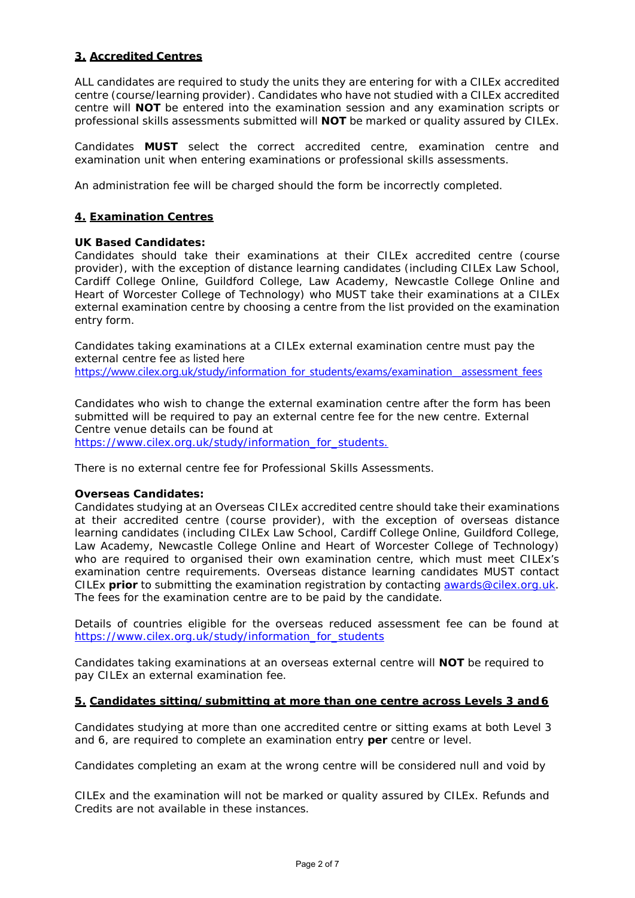## **3. Accredited Centres**

ALL candidates are required to study the units they are entering for with a CILEx accredited centre (course/learning provider). Candidates who have not studied with a CILEx accredited centre will **NOT** be entered into the examination session and any examination scripts or professional skills assessments submitted will **NOT** be marked or quality assured by CILEx.

Candidates **MUST** select the correct accredited centre, examination centre and examination unit when entering examinations or professional skills assessments.

An administration fee will be charged should the form be incorrectly completed.

#### **4. Examination Centres**

#### **UK Based Candidates:**

Candidates should take their examinations at their CILEx accredited centre (course provider), with the exception of distance learning candidates (including CILEx Law School, Cardiff College Online, Guildford College, Law Academy, Newcastle College Online and Heart of Worcester College of Technology) who MUST take their examinations at a CILEx external examination centre by choosing a centre from the list provided on the examination entry form.

Candidates taking examinations at a CILEx external examination centre must pay the external centre fee as listed here https://www.cilex.org.uk/study/information\_for\_students/exams/examination\_assessment\_fees

Candidates who wish to change the external examination centre after the form has been submitted will be required to pay an external centre fee for the new centre. External Centre venue details can be found at [https://www.cilex.org.uk/study/information\\_for\\_students.](https://www.cilex.org.uk/study/information_for_students.)

There is no external centre fee for Professional Skills Assessments.

#### **Overseas Candidates:**

Candidates studying at an Overseas CILEx accredited centre should take their examinations at their accredited centre (course provider), with the exception of overseas distance learning candidates (including CILEx Law School, Cardiff College Online, Guildford College, Law Academy, Newcastle College Online and Heart of Worcester College of Technology) who are required to organised their own examination centre, which must meet CILEx's examination centre requirements. Overseas distance learning candidates MUST contact CILEx **prior** to submitting the examination registration by contacting [awards@cilex.org.uk.](mailto:awards@cilex.org.uk) The fees for the examination centre are to be paid by the candidate.

Details of countries eligible for the overseas reduced assessment fee can be found at [https://www.cilex.org.uk/study/information\\_for\\_students](https://www.cilex.org.uk/study/information_for_students)

Candidates taking examinations at an overseas external centre will **NOT** be required to pay CILEx an external examination fee.

#### **5. Candidates sitting/submitting at more than one centre across Levels 3 and 6**

Candidates studying at more than one accredited centre or sitting exams at both Level 3 and 6, are required to complete an examination entry **per** centre or level.

Candidates completing an exam at the wrong centre will be considered null and void by

CILEx and the examination will not be marked or quality assured by CILEx. Refunds and Credits are not available in these instances.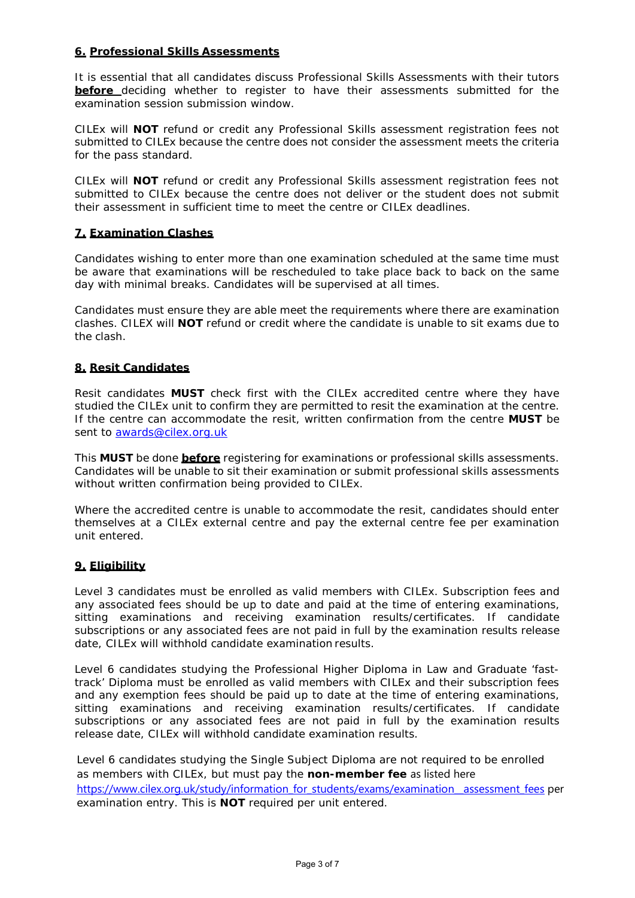## **6. Professional Skills Assessments**

It is essential that all candidates discuss Professional Skills Assessments with their tutors **before** deciding whether to register to have their assessments submitted for the examination session submission window.

CILEx will **NOT** refund or credit any Professional Skills assessment registration fees not submitted to CILEx because the centre does not consider the assessment meets the criteria for the pass standard.

CILEx will **NOT** refund or credit any Professional Skills assessment registration fees not submitted to CILEx because the centre does not deliver or the student does not submit their assessment in sufficient time to meet the centre or CILEx deadlines.

#### **7. Examination Clashes**

Candidates wishing to enter more than one examination scheduled at the same time must be aware that examinations will be rescheduled to take place back to back on the same day with minimal breaks. Candidates will be supervised at all times.

Candidates must ensure they are able meet the requirements where there are examination clashes. CILEX will **NOT** refund or credit where the candidate is unable to sit exams due to the clash.

#### **8. Resit Candidates**

Resit candidates **MUST** check first with the CILEx accredited centre where they have studied the CILEx unit to confirm they are permitted to resit the examination at the centre. If the centre can accommodate the resit, written confirmation from the centre **MUST** be sent to [awards@cilex.org.uk](mailto:awards@cilex.org.uk)

This **MUST** be done **before** registering for examinations or professional skills assessments. Candidates will be unable to sit their examination or submit professional skills assessments without written confirmation being provided to CILEx.

Where the accredited centre is unable to accommodate the resit, candidates should enter themselves at a CILEx external centre and pay the external centre fee per examination unit entered.

#### **9. Eligibility**

Level 3 candidates must be enrolled as valid members with CILEx. Subscription fees and any associated fees should be up to date and paid at the time of entering examinations, sitting examinations and receiving examination results/certificates. If candidate subscriptions or any associated fees are not paid in full by the examination results release date, CILEx will withhold candidate examination results.

Level 6 candidates studying the Professional Higher Diploma in Law and Graduate 'fasttrack' Diploma must be enrolled as valid members with CILEx and their subscription fees and any exemption fees should be paid up to date at the time of entering examinations, sitting examinations and receiving examination results/certificates. If candidate subscriptions or any associated fees are not paid in full by the examination results release date, CILEx will withhold candidate examination results.

Level 6 candidates studying the Single Subject Diploma are not required to be enrolled as members with CILEx, but must pay the **non-member fee** as listed here [https://www.cilex.org.uk/study/information\\_for\\_students/exams/examination\\_\\_assessment\\_fees](https://www.cilex.org.uk/study/information_for_students/exams/examination__assessment_fees) per examination entry. This is **NOT** required per unit entered.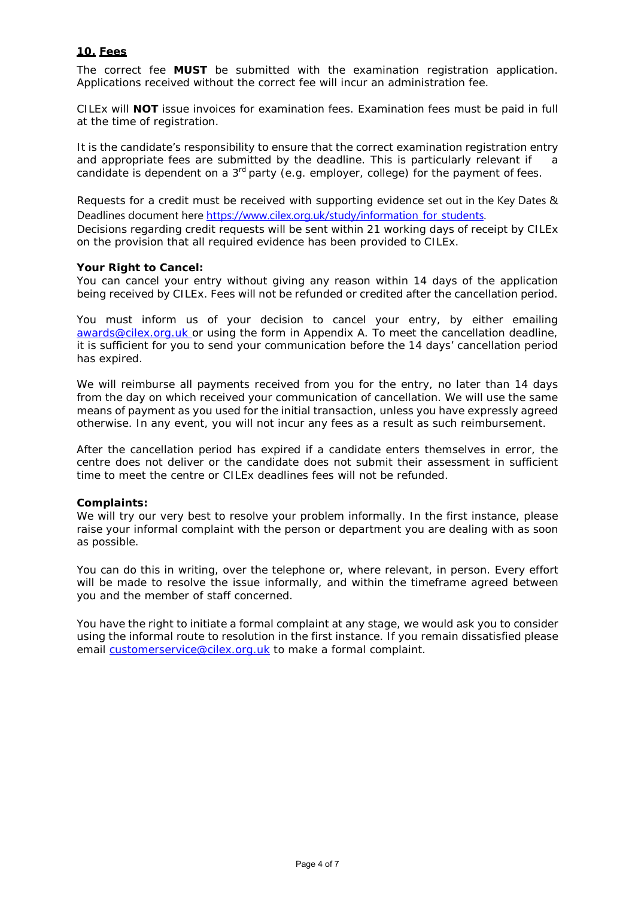#### **10. Fees**

The correct fee **MUST** be submitted with the examination registration application. Applications received without the correct fee will incur an administration fee.

CILEx will **NOT** issue invoices for examination fees. Examination fees must be paid in full at the time of registration.

It is the candidate's responsibility to ensure that the correct examination registration entry and appropriate fees are submitted by the deadline. This is particularly relevant if a candidate is dependent on a  $3<sup>rd</sup>$  party (e.g. employer, college) for the payment of fees.

Requests for a credit must be received with supporting evidence set out in the Key Dates & Deadlines document here [https://www.cilex.org.uk/study/information\\_for\\_students.](https://www.cilex.org.uk/study/information_for_students) Decisions regarding credit requests will be sent within 21 working days of receipt by CILEx on the provision that all required evidence has been provided to CILEx.

#### **Your Right to Cancel:**

You can cancel your entry without giving any reason within 14 days of the application being received by CILEx. Fees will not be refunded or credited after the cancellation period.

You must inform us of your decision to cancel your entry, by either emailing [awards@cilex.org.uk](mailto:awards@cilex.org.uk) or using the form in Appendix A. To meet the cancellation deadline, it is sufficient for you to send your communication before the 14 days' cancellation period has expired.

We will reimburse all payments received from you for the entry, no later than 14 days from the day on which received your communication of cancellation. We will use the same means of payment as you used for the initial transaction, unless you have expressly agreed otherwise. In any event, you will not incur any fees as a result as such reimbursement.

After the cancellation period has expired if a candidate enters themselves in error, the centre does not deliver or the candidate does not submit their assessment in sufficient time to meet the centre or CILEx deadlines fees will not be refunded.

#### **Complaints:**

We will try our very best to resolve your problem informally. In the first instance, please raise your informal complaint with the person or department you are dealing with as soon as possible.

You can do this in writing, over the telephone or, where relevant, in person. Every effort will be made to resolve the issue informally, and within the timeframe agreed between you and the member of staff concerned.

You have the right to initiate a formal complaint at any stage, we would ask you to consider using the informal route to resolution in the first instance. If you remain dissatisfied please email [customerservice@cilex.org.uk](mailto:customerservice@cilex.org.uk) to make a formal complaint.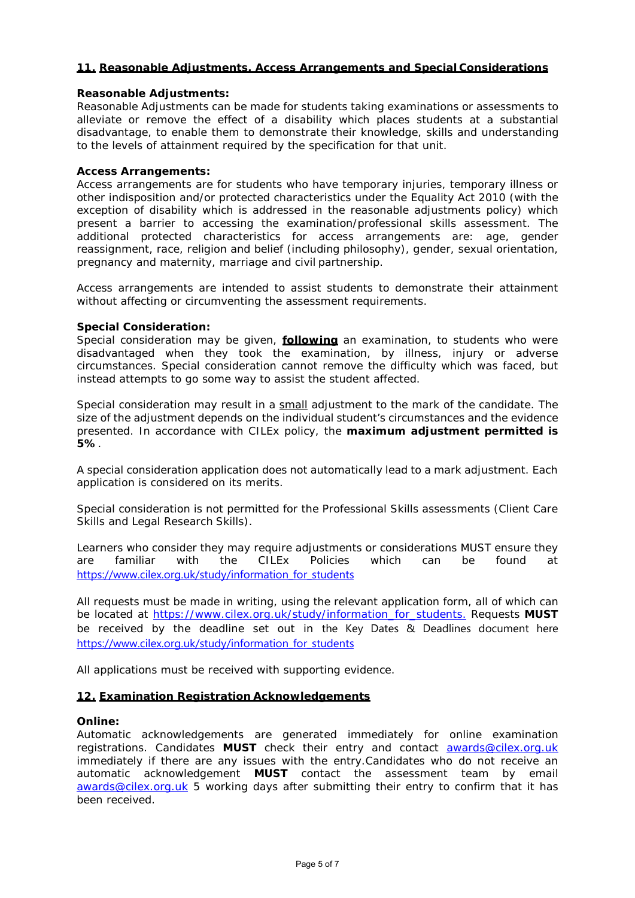#### **11. Reasonable Adjustments, Access Arrangements and Special Considerations**

#### **Reasonable Adjustments:**

Reasonable Adjustments can be made for students taking examinations or assessments to alleviate or remove the effect of a disability which places students at a substantial disadvantage, to enable them to demonstrate their knowledge, skills and understanding to the levels of attainment required by the specification for that unit.

#### **Access Arrangements:**

Access arrangements are for students who have temporary injuries, temporary illness or other indisposition and/or protected characteristics under the Equality Act 2010 (with the exception of disability which is addressed in the reasonable adjustments policy) which present a barrier to accessing the examination/professional skills assessment. The additional protected characteristics for access arrangements are: age, gender reassignment, race, religion and belief (including philosophy), gender, sexual orientation, pregnancy and maternity, marriage and civil partnership.

Access arrangements are intended to assist students to demonstrate their attainment without affecting or circumventing the assessment requirements.

#### **Special Consideration:**

Special consideration may be given, **following** an examination, to students who were disadvantaged when they took the examination, by illness, injury or adverse circumstances. Special consideration cannot remove the difficulty which was faced, but instead attempts to go some way to assist the student affected.

Special consideration may result in a small adjustment to the mark of the candidate. The size of the adjustment depends on the individual student's circumstances and the evidence presented. In accordance with CILEx policy, the **maximum adjustment permitted is 5%**.

A special consideration application does not automatically lead to a mark adjustment. Each application is considered on its merits.

Special consideration is not permitted for the Professional Skills assessments (Client Care Skills and Legal Research Skills).

Learners who consider they may require adjustments or considerations MUST ensure they are familiar with the CILEx Policies which can be found at [https://www.cilex.org.uk/study/information\\_for\\_students](https://www.cilex.org.uk/study/information_for_students)

All requests must be made in writing, using the relevant application form, all of which can be located at [https://www.cilex.org.uk/study/information\\_for\\_students.](https://www.cilex.org.uk/study/information_for_students.) Requests **MUST**  be received by the deadline set out in the Key Dates & Deadlines document here [https://www.cilex.org.uk/study/information\\_for\\_students](https://www.cilex.org.uk/study/information_for_students)

All applications must be received with supporting evidence.

#### **12. Examination Registration Acknowledgements**

#### **Online:**

Automatic acknowledgements are generated immediately for online examination registrations. Candidates **MUST** check their entry and contact [awards@cilex.org.uk](mailto:awards@cilex.org.uk) immediately if there are any issues with the entry.Candidates who do not receive an automatic acknowledgement **MUST** contact the assessment team by email [awards@cilex.org.uk](mailto:awards@cilex.org.uk) 5 working days after submitting their entry to confirm that it has been received.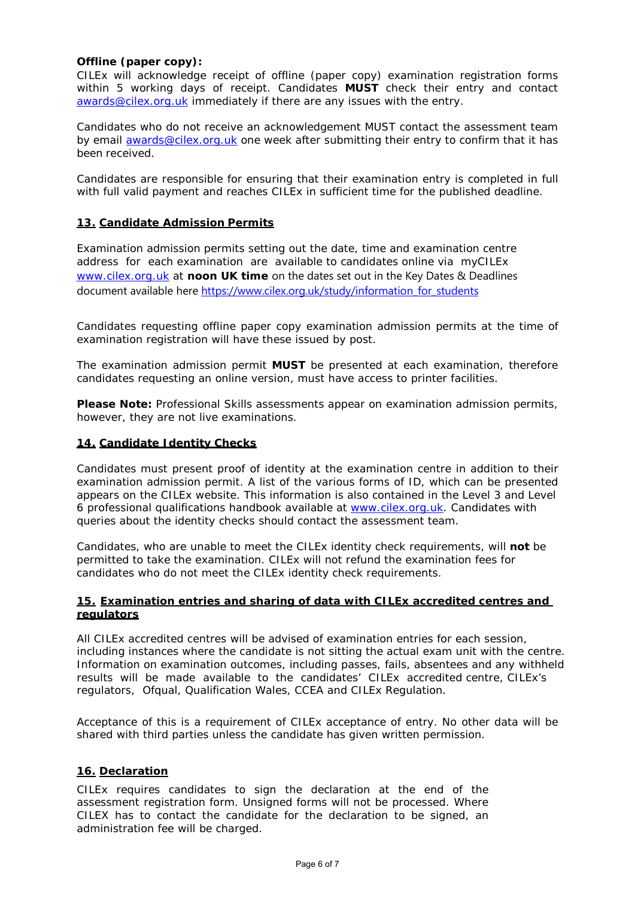#### **Offline (paper copy):**

CILEx will acknowledge receipt of offline (paper copy) examination registration forms within 5 working days of receipt. Candidates **MUST** check their entry and contact [awards@cilex.org.uk](mailto:awards@cilex.org.uk) immediately if there are any issues with the entry.

Candidates who do not receive an acknowledgement MUST contact the assessment team by email [awards@cilex.org.uk](mailto:awards@cilex.org.uk) one week after submitting their entry to confirm that it has been received.

Candidates are responsible for ensuring that their examination entry is completed in full with full valid payment and reaches CILEx in sufficient time for the published deadline.

#### **13. Candidate Admission Permits**

Examination admission permits setting out the date, time and examination centre address for each examination are available to candidates online via myCILEx [www.cilex.org.uk](http://www.cilex.org.uk/) at **noon UK time** on the dates set out in the Key Dates & Deadlines document available her[e https://www.cilex.org.uk/study/information\\_for\\_students](https://www.cilex.org.uk/study/information_for_students)

Candidates requesting offline paper copy examination admission permits at the time of examination registration will have these issued by post.

The examination admission permit **MUST** be presented at each examination, therefore candidates requesting an online version, must have access to printer facilities.

**Please Note:** Professional Skills assessments appear on examination admission permits, however, they are not live examinations.

#### **14. Candidate Identity Checks**

Candidates must present proof of identity at the examination centre in addition to their examination admission permit. A list of the various forms of ID, which can be presented appears on the CILEx website. This information is also contained in the Level 3 and Level 6 professional qualifications handbook available at [www.cilex.org.uk.](http://www.cilex.org.uk/) Candidates with queries about the identity checks should contact the assessment team.

Candidates, who are unable to meet the CILEx identity check requirements, will **not** be permitted to take the examination. CILEx will not refund the examination fees for candidates who do not meet the CILEx identity check requirements.

#### **15. Examination entries and sharing of data with CILEx accredited centres and regulators**

All CILEx accredited centres will be advised of examination entries for each session, including instances where the candidate is not sitting the actual exam unit with the centre. Information on examination outcomes, including passes, fails, absentees and any withheld results will be made available to the candidates' CILEx accredited centre, CILEx's regulators, Ofqual, Qualification Wales, CCEA and CILEx Regulation.

Acceptance of this is a requirement of CILEx acceptance of entry. No other data will be shared with third parties unless the candidate has given written permission.

#### **16. Declaration**

CILEx requires candidates to sign the declaration at the end of the assessment registration form. Unsigned forms will not be processed. Where CILEX has to contact the candidate for the declaration to be signed, an administration fee will be charged.